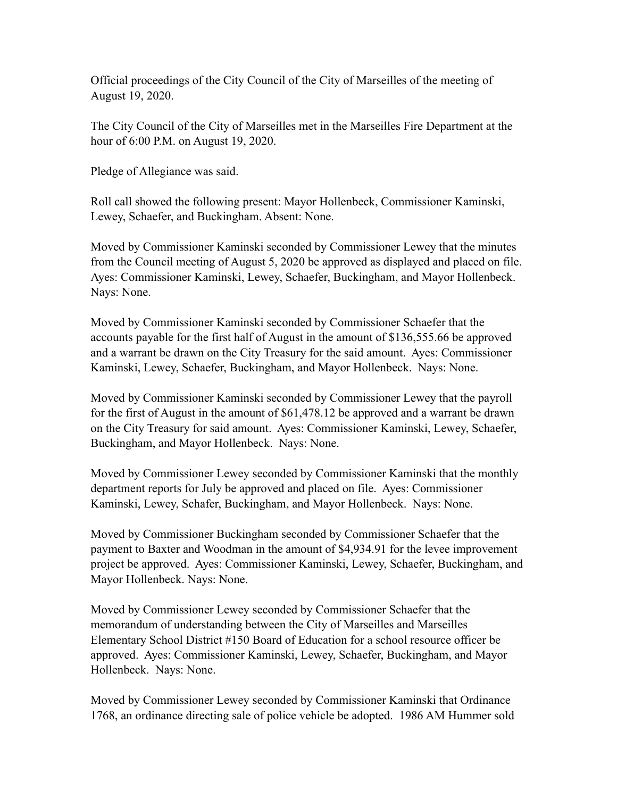Official proceedings of the City Council of the City of Marseilles of the meeting of August 19, 2020.

The City Council of the City of Marseilles met in the Marseilles Fire Department at the hour of 6:00 P.M. on August 19, 2020.

Pledge of Allegiance was said.

Roll call showed the following present: Mayor Hollenbeck, Commissioner Kaminski, Lewey, Schaefer, and Buckingham. Absent: None.

Moved by Commissioner Kaminski seconded by Commissioner Lewey that the minutes from the Council meeting of August 5, 2020 be approved as displayed and placed on file. Ayes: Commissioner Kaminski, Lewey, Schaefer, Buckingham, and Mayor Hollenbeck. Nays: None.

Moved by Commissioner Kaminski seconded by Commissioner Schaefer that the accounts payable for the first half of August in the amount of \$136,555.66 be approved and a warrant be drawn on the City Treasury for the said amount. Ayes: Commissioner Kaminski, Lewey, Schaefer, Buckingham, and Mayor Hollenbeck. Nays: None.

Moved by Commissioner Kaminski seconded by Commissioner Lewey that the payroll for the first of August in the amount of \$61,478.12 be approved and a warrant be drawn on the City Treasury for said amount. Ayes: Commissioner Kaminski, Lewey, Schaefer, Buckingham, and Mayor Hollenbeck. Nays: None.

Moved by Commissioner Lewey seconded by Commissioner Kaminski that the monthly department reports for July be approved and placed on file. Ayes: Commissioner Kaminski, Lewey, Schafer, Buckingham, and Mayor Hollenbeck. Nays: None.

Moved by Commissioner Buckingham seconded by Commissioner Schaefer that the payment to Baxter and Woodman in the amount of \$4,934.91 for the levee improvement project be approved. Ayes: Commissioner Kaminski, Lewey, Schaefer, Buckingham, and Mayor Hollenbeck. Nays: None.

Moved by Commissioner Lewey seconded by Commissioner Schaefer that the memorandum of understanding between the City of Marseilles and Marseilles Elementary School District #150 Board of Education for a school resource officer be approved. Ayes: Commissioner Kaminski, Lewey, Schaefer, Buckingham, and Mayor Hollenbeck. Nays: None.

Moved by Commissioner Lewey seconded by Commissioner Kaminski that Ordinance 1768, an ordinance directing sale of police vehicle be adopted. 1986 AM Hummer sold